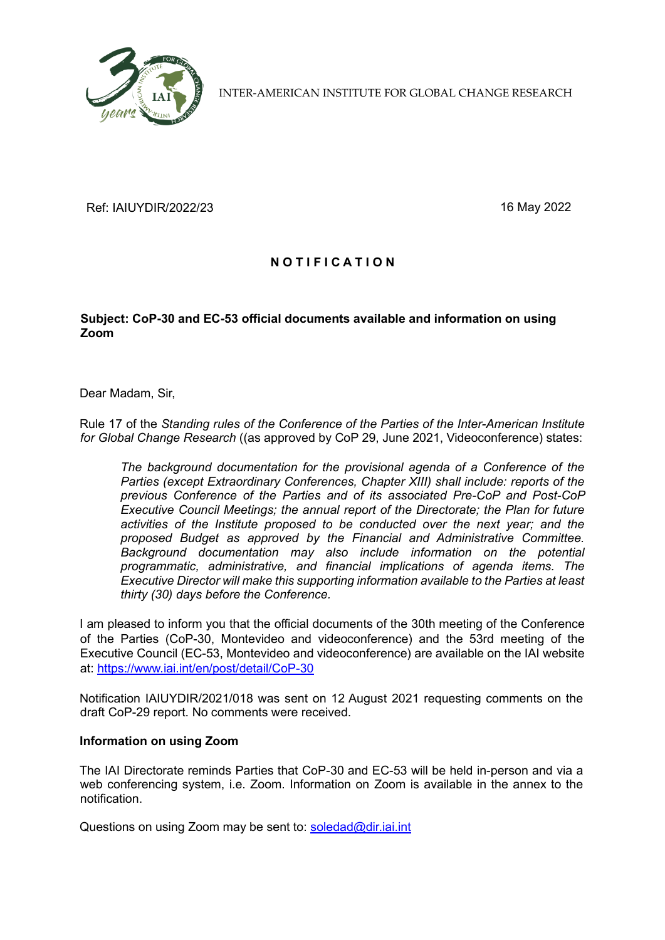

INTER-AMERICAN INSTITUTE FOR GLOBAL CHANGE RESEARCH

Ref: IAIUYDIR/2022/23 16 May 2022

## **N O T I F I C A T I O N**

## **Subject: CoP-30 and EC-53 official documents available and information on using Zoom**

Dear Madam, Sir,

Rule 17 of the *Standing rules of the Conference of the Parties of the Inter-American Institute for Global Change Research* ((as approved by CoP 29, June 2021, Videoconference) states:

*The background documentation for the provisional agenda of a Conference of the Parties (except Extraordinary Conferences, Chapter XIII) shall include: reports of the previous Conference of the Parties and of its associated Pre-CoP and Post-CoP Executive Council Meetings; the annual report of the Directorate; the Plan for future activities of the Institute proposed to be conducted over the next year; and the proposed Budget as approved by the Financial and Administrative Committee. Background documentation may also include information on the potential programmatic, administrative, and financial implications of agenda items. The Executive Director will make this supporting information available to the Parties at least thirty (30) days before the Conference.*

I am pleased to inform you that the official documents of the 30th meeting of the Conference of the Parties (CoP-30, Montevideo and videoconference) and the 53rd meeting of the Executive Council (EC-53, Montevideo and videoconference) are available on the IAI website at:<https://www.iai.int/en/post/detail/CoP-30>

Notification IAIUYDIR/2021/018 was sent on 12 August 2021 requesting comments on the draft CoP-29 report. No comments were received.

## **Information on using Zoom**

The IAI Directorate reminds Parties that CoP-30 and EC-53 will be held in-person and via a web conferencing system, i.e. Zoom. Information on Zoom is available in the annex to the notification.

Questions on using Zoom may be sent to:  $s$ oledad@dir.iai.int